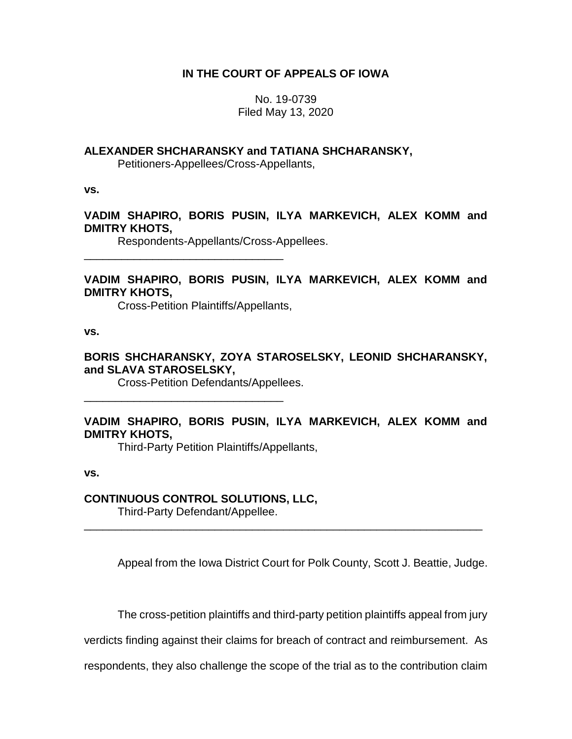## **IN THE COURT OF APPEALS OF IOWA**

No. 19-0739 Filed May 13, 2020

## **ALEXANDER SHCHARANSKY and TATIANA SHCHARANSKY,**

Petitioners-Appellees/Cross-Appellants,

**vs.**

## **VADIM SHAPIRO, BORIS PUSIN, ILYA MARKEVICH, ALEX KOMM and DMITRY KHOTS,**

Respondents-Appellants/Cross-Appellees.

# **VADIM SHAPIRO, BORIS PUSIN, ILYA MARKEVICH, ALEX KOMM and DMITRY KHOTS,**

Cross-Petition Plaintiffs/Appellants,

\_\_\_\_\_\_\_\_\_\_\_\_\_\_\_\_\_\_\_\_\_\_\_\_\_\_\_\_\_\_\_\_

\_\_\_\_\_\_\_\_\_\_\_\_\_\_\_\_\_\_\_\_\_\_\_\_\_\_\_\_\_\_\_\_

**vs.**

## **BORIS SHCHARANSKY, ZOYA STAROSELSKY, LEONID SHCHARANSKY, and SLAVA STAROSELSKY,**

Cross-Petition Defendants/Appellees.

# **VADIM SHAPIRO, BORIS PUSIN, ILYA MARKEVICH, ALEX KOMM and DMITRY KHOTS,**

\_\_\_\_\_\_\_\_\_\_\_\_\_\_\_\_\_\_\_\_\_\_\_\_\_\_\_\_\_\_\_\_\_\_\_\_\_\_\_\_\_\_\_\_\_\_\_\_\_\_\_\_\_\_\_\_\_\_\_\_\_\_\_\_

Third-Party Petition Plaintiffs/Appellants,

**vs.**

### **CONTINUOUS CONTROL SOLUTIONS, LLC,**

Third-Party Defendant/Appellee.

Appeal from the Iowa District Court for Polk County, Scott J. Beattie, Judge.

The cross-petition plaintiffs and third-party petition plaintiffs appeal from jury

verdicts finding against their claims for breach of contract and reimbursement. As

respondents, they also challenge the scope of the trial as to the contribution claim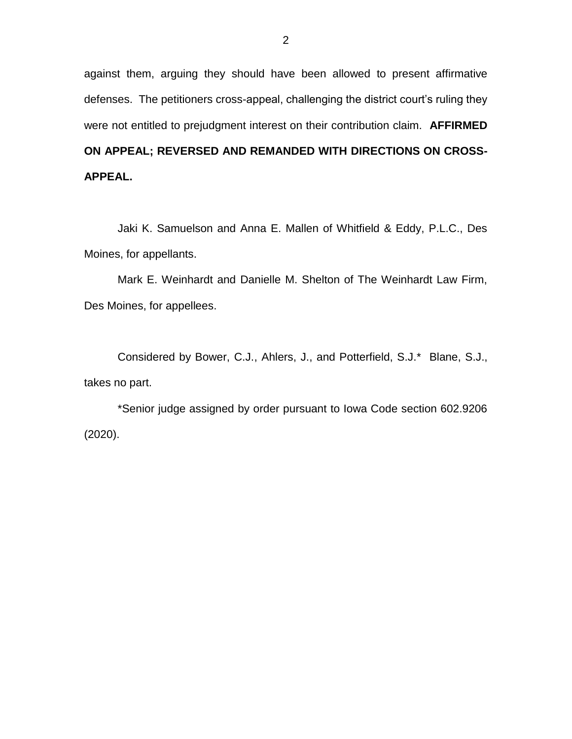against them, arguing they should have been allowed to present affirmative defenses. The petitioners cross-appeal, challenging the district court's ruling they were not entitled to prejudgment interest on their contribution claim. **AFFIRMED ON APPEAL; REVERSED AND REMANDED WITH DIRECTIONS ON CROSS-APPEAL.**

Jaki K. Samuelson and Anna E. Mallen of Whitfield & Eddy, P.L.C., Des Moines, for appellants.

Mark E. Weinhardt and Danielle M. Shelton of The Weinhardt Law Firm, Des Moines, for appellees.

Considered by Bower, C.J., Ahlers, J., and Potterfield, S.J.\* Blane, S.J., takes no part.

\*Senior judge assigned by order pursuant to Iowa Code section 602.9206 (2020).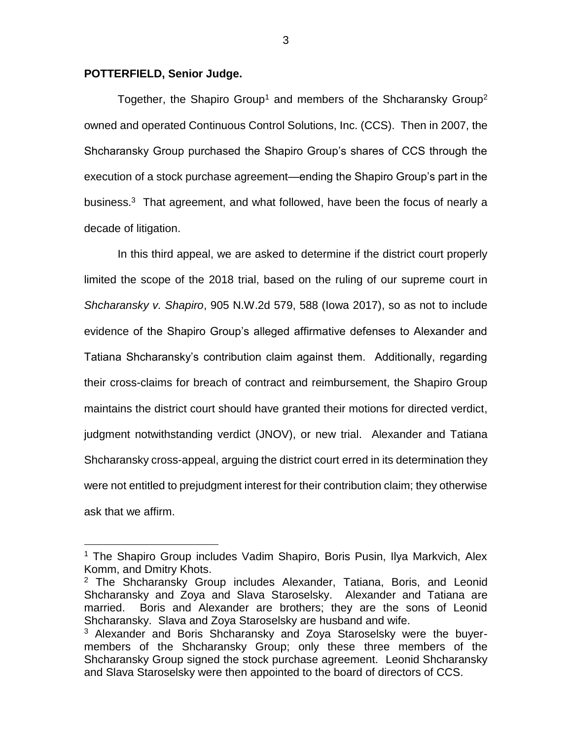#### **POTTERFIELD, Senior Judge.**

 $\overline{a}$ 

Together, the Shapiro Group<sup>1</sup> and members of the Shcharansky Group<sup>2</sup> owned and operated Continuous Control Solutions, Inc. (CCS). Then in 2007, the Shcharansky Group purchased the Shapiro Group's shares of CCS through the execution of a stock purchase agreement—ending the Shapiro Group's part in the business.<sup>3</sup> That agreement, and what followed, have been the focus of nearly a decade of litigation.

In this third appeal, we are asked to determine if the district court properly limited the scope of the 2018 trial, based on the ruling of our supreme court in *Shcharansky v. Shapiro*, 905 N.W.2d 579, 588 (Iowa 2017), so as not to include evidence of the Shapiro Group's alleged affirmative defenses to Alexander and Tatiana Shcharansky's contribution claim against them. Additionally, regarding their cross-claims for breach of contract and reimbursement, the Shapiro Group maintains the district court should have granted their motions for directed verdict, judgment notwithstanding verdict (JNOV), or new trial. Alexander and Tatiana Shcharansky cross-appeal, arguing the district court erred in its determination they were not entitled to prejudgment interest for their contribution claim; they otherwise ask that we affirm.

<sup>&</sup>lt;sup>1</sup> The Shapiro Group includes Vadim Shapiro, Boris Pusin, Ilya Markvich, Alex Komm, and Dmitry Khots.

 $2$  The Shcharansky Group includes Alexander, Tatiana, Boris, and Leonid Shcharansky and Zoya and Slava Staroselsky. Alexander and Tatiana are married. Boris and Alexander are brothers; they are the sons of Leonid Shcharansky. Slava and Zoya Staroselsky are husband and wife.

<sup>&</sup>lt;sup>3</sup> Alexander and Boris Shcharansky and Zoya Staroselsky were the buyermembers of the Shcharansky Group; only these three members of the Shcharansky Group signed the stock purchase agreement. Leonid Shcharansky and Slava Staroselsky were then appointed to the board of directors of CCS.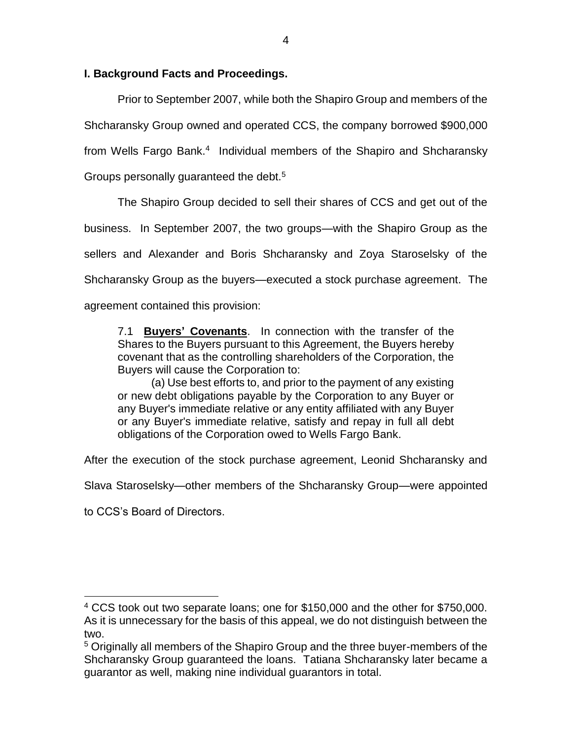## **I. Background Facts and Proceedings.**

Prior to September 2007, while both the Shapiro Group and members of the Shcharansky Group owned and operated CCS, the company borrowed \$900,000 from Wells Fargo Bank.<sup>4</sup> Individual members of the Shapiro and Shcharansky Groups personally quaranteed the debt.<sup>5</sup>

The Shapiro Group decided to sell their shares of CCS and get out of the business. In September 2007, the two groups—with the Shapiro Group as the sellers and Alexander and Boris Shcharansky and Zoya Staroselsky of the Shcharansky Group as the buyers—executed a stock purchase agreement. The agreement contained this provision:

7.1 **Buyers' Covenants**. In connection with the transfer of the Shares to the Buyers pursuant to this Agreement, the Buyers hereby covenant that as the controlling shareholders of the Corporation, the Buyers will cause the Corporation to:

(a) Use best efforts to, and prior to the payment of any existing or new debt obligations payable by the Corporation to any Buyer or any Buyer's immediate relative or any entity affiliated with any Buyer or any Buyer's immediate relative, satisfy and repay in full all debt obligations of the Corporation owed to Wells Fargo Bank.

After the execution of the stock purchase agreement, Leonid Shcharansky and

Slava Staroselsky—other members of the Shcharansky Group—were appointed

to CCS's Board of Directors.

 $\overline{a}$ 

<sup>4</sup> CCS took out two separate loans; one for \$150,000 and the other for \$750,000. As it is unnecessary for the basis of this appeal, we do not distinguish between the two.

<sup>&</sup>lt;sup>5</sup> Originally all members of the Shapiro Group and the three buyer-members of the Shcharansky Group guaranteed the loans. Tatiana Shcharansky later became a guarantor as well, making nine individual guarantors in total.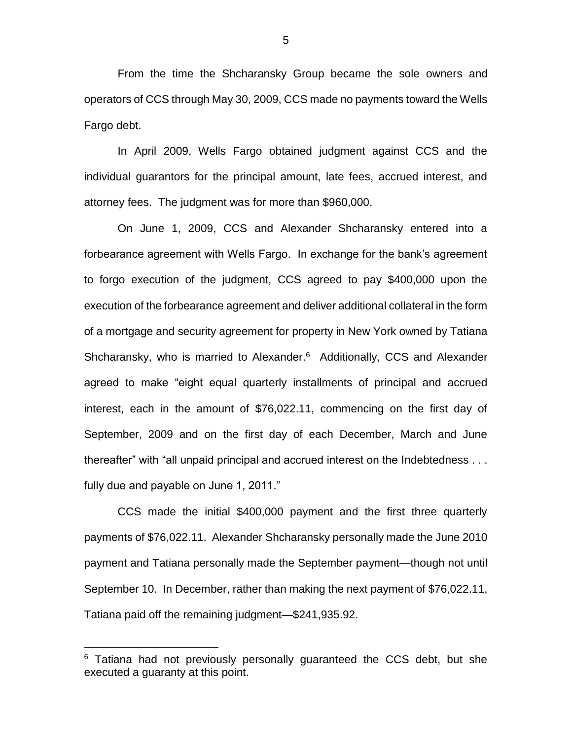From the time the Shcharansky Group became the sole owners and operators of CCS through May 30, 2009, CCS made no payments toward the Wells Fargo debt.

In April 2009, Wells Fargo obtained judgment against CCS and the individual guarantors for the principal amount, late fees, accrued interest, and attorney fees. The judgment was for more than \$960,000.

On June 1, 2009, CCS and Alexander Shcharansky entered into a forbearance agreement with Wells Fargo. In exchange for the bank's agreement to forgo execution of the judgment, CCS agreed to pay \$400,000 upon the execution of the forbearance agreement and deliver additional collateral in the form of a mortgage and security agreement for property in New York owned by Tatiana Shcharansky, who is married to Alexander.<sup>6</sup> Additionally, CCS and Alexander agreed to make "eight equal quarterly installments of principal and accrued interest, each in the amount of \$76,022.11, commencing on the first day of September, 2009 and on the first day of each December, March and June thereafter" with "all unpaid principal and accrued interest on the Indebtedness . . . fully due and payable on June 1, 2011."

CCS made the initial \$400,000 payment and the first three quarterly payments of \$76,022.11. Alexander Shcharansky personally made the June 2010 payment and Tatiana personally made the September payment—though not until September 10. In December, rather than making the next payment of \$76,022.11, Tatiana paid off the remaining judgment—\$241,935.92.

 $\overline{a}$ 

 $6$  Tatiana had not previously personally quaranteed the CCS debt, but she executed a guaranty at this point.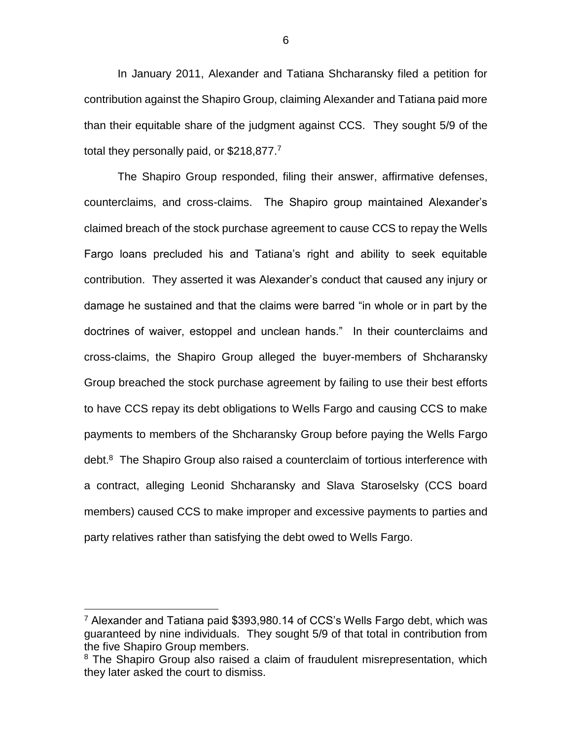In January 2011, Alexander and Tatiana Shcharansky filed a petition for contribution against the Shapiro Group, claiming Alexander and Tatiana paid more than their equitable share of the judgment against CCS. They sought 5/9 of the total they personally paid, or  $$218,877$ .<sup>7</sup>

The Shapiro Group responded, filing their answer, affirmative defenses, counterclaims, and cross-claims. The Shapiro group maintained Alexander's claimed breach of the stock purchase agreement to cause CCS to repay the Wells Fargo loans precluded his and Tatiana's right and ability to seek equitable contribution. They asserted it was Alexander's conduct that caused any injury or damage he sustained and that the claims were barred "in whole or in part by the doctrines of waiver, estoppel and unclean hands." In their counterclaims and cross-claims, the Shapiro Group alleged the buyer-members of Shcharansky Group breached the stock purchase agreement by failing to use their best efforts to have CCS repay its debt obligations to Wells Fargo and causing CCS to make payments to members of the Shcharansky Group before paying the Wells Fargo debt.<sup>8</sup> The Shapiro Group also raised a counterclaim of tortious interference with a contract, alleging Leonid Shcharansky and Slava Staroselsky (CCS board members) caused CCS to make improper and excessive payments to parties and party relatives rather than satisfying the debt owed to Wells Fargo.

 $\overline{a}$ 

<sup>7</sup> Alexander and Tatiana paid \$393,980.14 of CCS's Wells Fargo debt, which was guaranteed by nine individuals. They sought 5/9 of that total in contribution from the five Shapiro Group members.

<sup>&</sup>lt;sup>8</sup> The Shapiro Group also raised a claim of fraudulent misrepresentation, which they later asked the court to dismiss.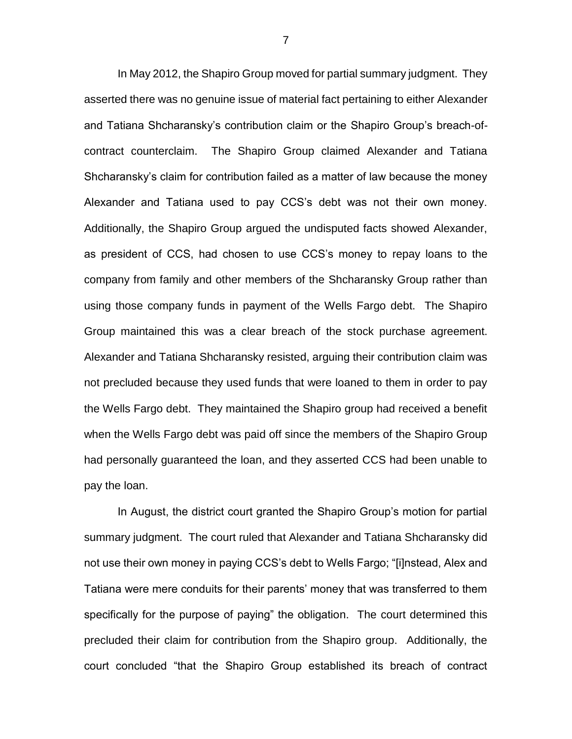In May 2012, the Shapiro Group moved for partial summary judgment. They asserted there was no genuine issue of material fact pertaining to either Alexander and Tatiana Shcharansky's contribution claim or the Shapiro Group's breach-ofcontract counterclaim. The Shapiro Group claimed Alexander and Tatiana Shcharansky's claim for contribution failed as a matter of law because the money Alexander and Tatiana used to pay CCS's debt was not their own money. Additionally, the Shapiro Group argued the undisputed facts showed Alexander, as president of CCS, had chosen to use CCS's money to repay loans to the company from family and other members of the Shcharansky Group rather than using those company funds in payment of the Wells Fargo debt. The Shapiro Group maintained this was a clear breach of the stock purchase agreement. Alexander and Tatiana Shcharansky resisted, arguing their contribution claim was not precluded because they used funds that were loaned to them in order to pay the Wells Fargo debt. They maintained the Shapiro group had received a benefit when the Wells Fargo debt was paid off since the members of the Shapiro Group had personally guaranteed the loan, and they asserted CCS had been unable to pay the loan.

In August, the district court granted the Shapiro Group's motion for partial summary judgment. The court ruled that Alexander and Tatiana Shcharansky did not use their own money in paying CCS's debt to Wells Fargo; "[i]nstead, Alex and Tatiana were mere conduits for their parents' money that was transferred to them specifically for the purpose of paying" the obligation. The court determined this precluded their claim for contribution from the Shapiro group. Additionally, the court concluded "that the Shapiro Group established its breach of contract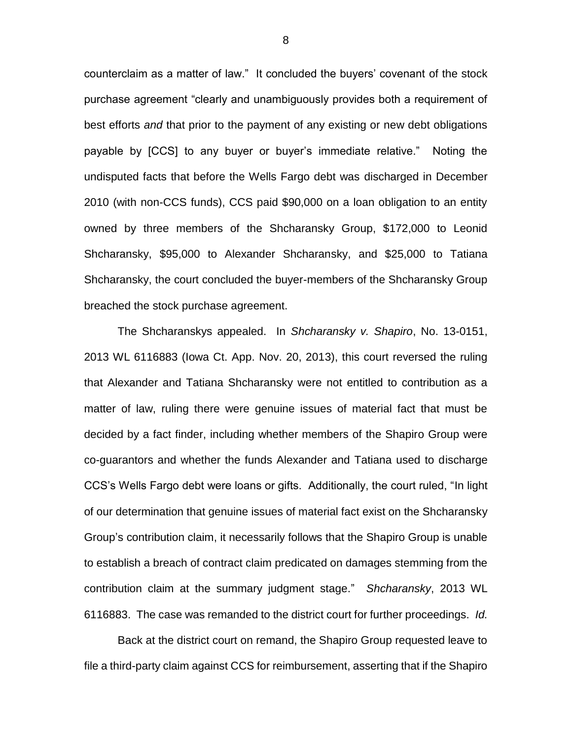counterclaim as a matter of law." It concluded the buyers' covenant of the stock purchase agreement "clearly and unambiguously provides both a requirement of best efforts *and* that prior to the payment of any existing or new debt obligations payable by [CCS] to any buyer or buyer's immediate relative." Noting the undisputed facts that before the Wells Fargo debt was discharged in December 2010 (with non-CCS funds), CCS paid \$90,000 on a loan obligation to an entity owned by three members of the Shcharansky Group, \$172,000 to Leonid Shcharansky, \$95,000 to Alexander Shcharansky, and \$25,000 to Tatiana Shcharansky, the court concluded the buyer-members of the Shcharansky Group breached the stock purchase agreement.

The Shcharanskys appealed. In *Shcharansky v. Shapiro*, No. 13-0151, 2013 WL 6116883 (Iowa Ct. App. Nov. 20, 2013), this court reversed the ruling that Alexander and Tatiana Shcharansky were not entitled to contribution as a matter of law, ruling there were genuine issues of material fact that must be decided by a fact finder, including whether members of the Shapiro Group were co-guarantors and whether the funds Alexander and Tatiana used to discharge CCS's Wells Fargo debt were loans or gifts. Additionally, the court ruled, "In light of our determination that genuine issues of material fact exist on the Shcharansky Group's contribution claim, it necessarily follows that the Shapiro Group is unable to establish a breach of contract claim predicated on damages stemming from the contribution claim at the summary judgment stage." *Shcharansky*, 2013 WL 6116883. The case was remanded to the district court for further proceedings. *Id.*

Back at the district court on remand, the Shapiro Group requested leave to file a third-party claim against CCS for reimbursement, asserting that if the Shapiro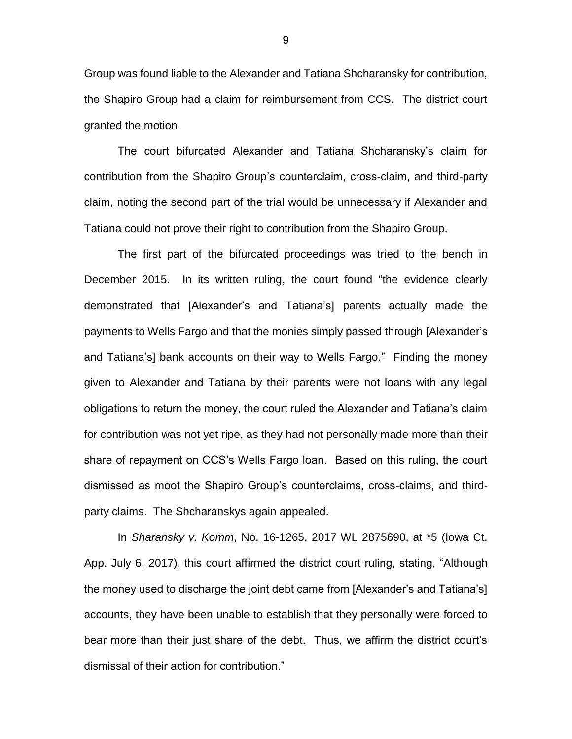Group was found liable to the Alexander and Tatiana Shcharansky for contribution, the Shapiro Group had a claim for reimbursement from CCS. The district court granted the motion.

The court bifurcated Alexander and Tatiana Shcharansky's claim for contribution from the Shapiro Group's counterclaim, cross-claim, and third-party claim, noting the second part of the trial would be unnecessary if Alexander and Tatiana could not prove their right to contribution from the Shapiro Group.

The first part of the bifurcated proceedings was tried to the bench in December 2015. In its written ruling, the court found "the evidence clearly demonstrated that [Alexander's and Tatiana's] parents actually made the payments to Wells Fargo and that the monies simply passed through [Alexander's and Tatiana's] bank accounts on their way to Wells Fargo." Finding the money given to Alexander and Tatiana by their parents were not loans with any legal obligations to return the money, the court ruled the Alexander and Tatiana's claim for contribution was not yet ripe, as they had not personally made more than their share of repayment on CCS's Wells Fargo loan. Based on this ruling, the court dismissed as moot the Shapiro Group's counterclaims, cross-claims, and thirdparty claims. The Shcharanskys again appealed.

In *Sharansky v. Komm*, No. 16-1265, 2017 WL 2875690, at \*5 (Iowa Ct. App. July 6, 2017), this court affirmed the district court ruling, stating, "Although the money used to discharge the joint debt came from [Alexander's and Tatiana's] accounts, they have been unable to establish that they personally were forced to bear more than their just share of the debt. Thus, we affirm the district court's dismissal of their action for contribution."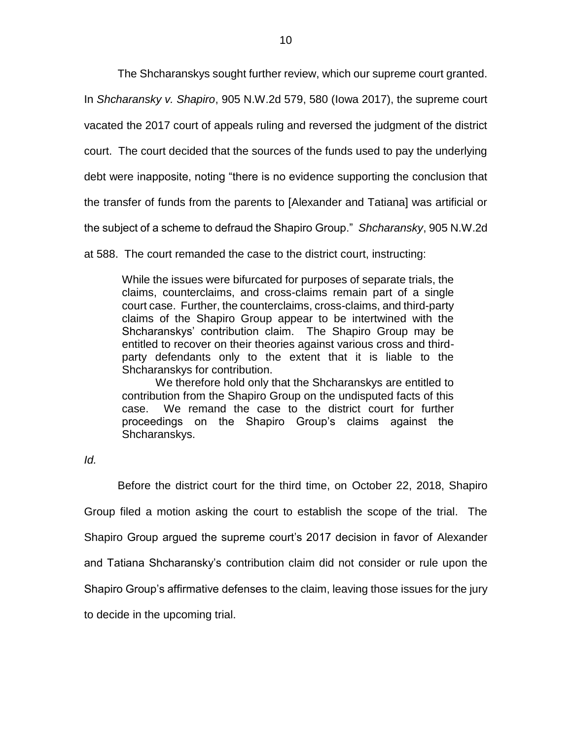The Shcharanskys sought further review, which our supreme court granted.

In *Shcharansky v. Shapiro*, 905 N.W.2d 579, 580 (Iowa 2017), the supreme court

vacated the 2017 court of appeals ruling and reversed the judgment of the district

court. The court decided that the sources of the funds used to pay the underlying

debt were inapposite, noting "there is no evidence supporting the conclusion that

the transfer of funds from the parents to [Alexander and Tatiana] was artificial or

the subject of a scheme to defraud the Shapiro Group." *Shcharansky*, 905 N.W.2d

at 588. The court remanded the case to the district court, instructing:

While the issues were bifurcated for purposes of separate trials, the claims, counterclaims, and cross-claims remain part of a single court case. Further, the counterclaims, cross-claims, and third-party claims of the Shapiro Group appear to be intertwined with the Shcharanskys' contribution claim. The Shapiro Group may be entitled to recover on their theories against various cross and thirdparty defendants only to the extent that it is liable to the Shcharanskys for contribution.

We therefore hold only that the Shcharanskys are entitled to contribution from the Shapiro Group on the undisputed facts of this case. We remand the case to the district court for further proceedings on the Shapiro Group's claims against the Shcharanskys.

*Id.* 

Before the district court for the third time, on October 22, 2018, Shapiro Group filed a motion asking the court to establish the scope of the trial. The Shapiro Group argued the supreme court's 2017 decision in favor of Alexander and Tatiana Shcharansky's contribution claim did not consider or rule upon the Shapiro Group's affirmative defenses to the claim, leaving those issues for the jury to decide in the upcoming trial.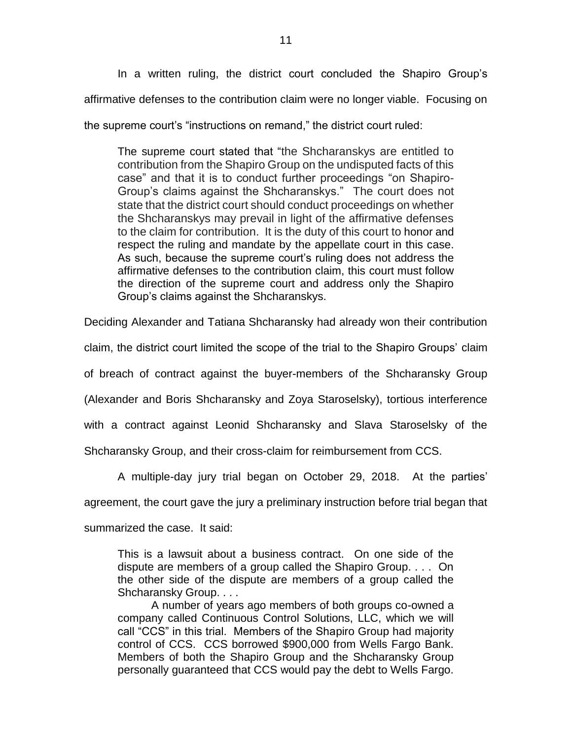In a written ruling, the district court concluded the Shapiro Group's affirmative defenses to the contribution claim were no longer viable. Focusing on the supreme court's "instructions on remand," the district court ruled:

The supreme court stated that "the Shcharanskys are entitled to contribution from the Shapiro Group on the undisputed facts of this case" and that it is to conduct further proceedings "on Shapiro-Group's claims against the Shcharanskys." The court does not state that the district court should conduct proceedings on whether the Shcharanskys may prevail in light of the affirmative defenses to the claim for contribution. It is the duty of this court to honor and respect the ruling and mandate by the appellate court in this case. As such, because the supreme court's ruling does not address the affirmative defenses to the contribution claim, this court must follow the direction of the supreme court and address only the Shapiro Group's claims against the Shcharanskys.

Deciding Alexander and Tatiana Shcharansky had already won their contribution

claim, the district court limited the scope of the trial to the Shapiro Groups' claim

of breach of contract against the buyer-members of the Shcharansky Group

(Alexander and Boris Shcharansky and Zoya Staroselsky), tortious interference

with a contract against Leonid Shcharansky and Slava Staroselsky of the

Shcharansky Group, and their cross-claim for reimbursement from CCS.

A multiple-day jury trial began on October 29, 2018. At the parties'

agreement, the court gave the jury a preliminary instruction before trial began that

summarized the case. It said:

This is a lawsuit about a business contract. On one side of the dispute are members of a group called the Shapiro Group. . . . On the other side of the dispute are members of a group called the Shcharansky Group. . . .

A number of years ago members of both groups co-owned a company called Continuous Control Solutions, LLC, which we will call "CCS" in this trial. Members of the Shapiro Group had majority control of CCS. CCS borrowed \$900,000 from Wells Fargo Bank. Members of both the Shapiro Group and the Shcharansky Group personally guaranteed that CCS would pay the debt to Wells Fargo.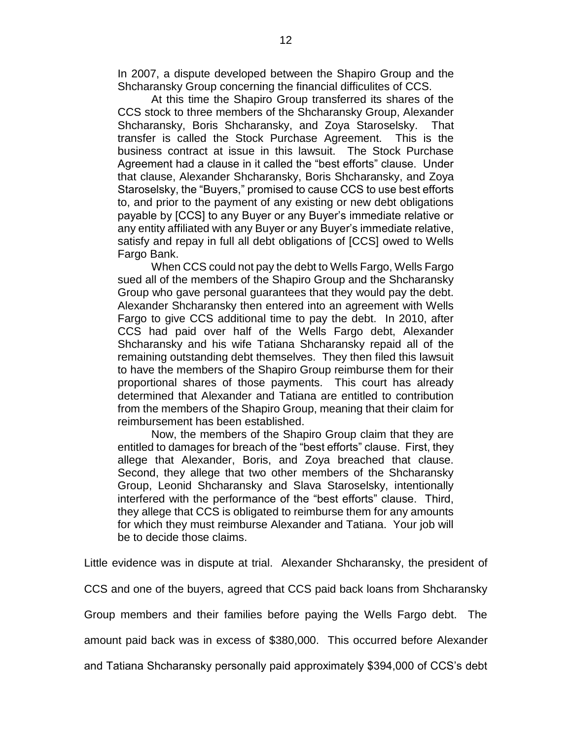In 2007, a dispute developed between the Shapiro Group and the Shcharansky Group concerning the financial difficulites of CCS.

At this time the Shapiro Group transferred its shares of the CCS stock to three members of the Shcharansky Group, Alexander Shcharansky, Boris Shcharansky, and Zoya Staroselsky. That transfer is called the Stock Purchase Agreement. This is the business contract at issue in this lawsuit. The Stock Purchase Agreement had a clause in it called the "best efforts" clause. Under that clause, Alexander Shcharansky, Boris Shcharansky, and Zoya Staroselsky, the "Buyers," promised to cause CCS to use best efforts to, and prior to the payment of any existing or new debt obligations payable by [CCS] to any Buyer or any Buyer's immediate relative or any entity affiliated with any Buyer or any Buyer's immediate relative, satisfy and repay in full all debt obligations of [CCS] owed to Wells Fargo Bank.

When CCS could not pay the debt to Wells Fargo, Wells Fargo sued all of the members of the Shapiro Group and the Shcharansky Group who gave personal guarantees that they would pay the debt. Alexander Shcharansky then entered into an agreement with Wells Fargo to give CCS additional time to pay the debt. In 2010, after CCS had paid over half of the Wells Fargo debt, Alexander Shcharansky and his wife Tatiana Shcharansky repaid all of the remaining outstanding debt themselves. They then filed this lawsuit to have the members of the Shapiro Group reimburse them for their proportional shares of those payments. This court has already determined that Alexander and Tatiana are entitled to contribution from the members of the Shapiro Group, meaning that their claim for reimbursement has been established.

Now, the members of the Shapiro Group claim that they are entitled to damages for breach of the "best efforts" clause. First, they allege that Alexander, Boris, and Zoya breached that clause. Second, they allege that two other members of the Shcharansky Group, Leonid Shcharansky and Slava Staroselsky, intentionally interfered with the performance of the "best efforts" clause. Third, they allege that CCS is obligated to reimburse them for any amounts for which they must reimburse Alexander and Tatiana. Your job will be to decide those claims.

Little evidence was in dispute at trial. Alexander Shcharansky, the president of

CCS and one of the buyers, agreed that CCS paid back loans from Shcharansky

Group members and their families before paying the Wells Fargo debt. The

amount paid back was in excess of \$380,000. This occurred before Alexander

and Tatiana Shcharansky personally paid approximately \$394,000 of CCS's debt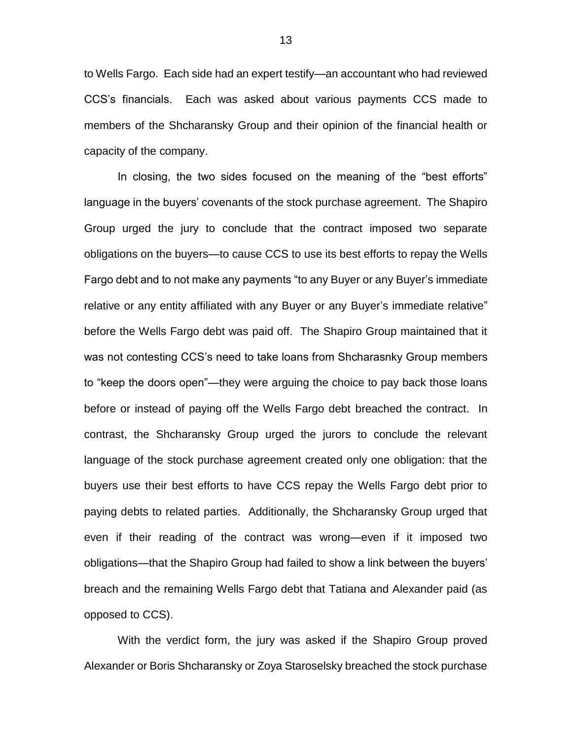to Wells Fargo. Each side had an expert testify—an accountant who had reviewed CCS's financials. Each was asked about various payments CCS made to members of the Shcharansky Group and their opinion of the financial health or capacity of the company.

In closing, the two sides focused on the meaning of the "best efforts" language in the buyers' covenants of the stock purchase agreement. The Shapiro Group urged the jury to conclude that the contract imposed two separate obligations on the buyers—to cause CCS to use its best efforts to repay the Wells Fargo debt and to not make any payments "to any Buyer or any Buyer's immediate relative or any entity affiliated with any Buyer or any Buyer's immediate relative" before the Wells Fargo debt was paid off. The Shapiro Group maintained that it was not contesting CCS's need to take loans from Shcharasnky Group members to "keep the doors open"—they were arguing the choice to pay back those loans before or instead of paying off the Wells Fargo debt breached the contract. In contrast, the Shcharansky Group urged the jurors to conclude the relevant language of the stock purchase agreement created only one obligation: that the buyers use their best efforts to have CCS repay the Wells Fargo debt prior to paying debts to related parties. Additionally, the Shcharansky Group urged that even if their reading of the contract was wrong—even if it imposed two obligations—that the Shapiro Group had failed to show a link between the buyers' breach and the remaining Wells Fargo debt that Tatiana and Alexander paid (as opposed to CCS).

With the verdict form, the jury was asked if the Shapiro Group proved Alexander or Boris Shcharansky or Zoya Staroselsky breached the stock purchase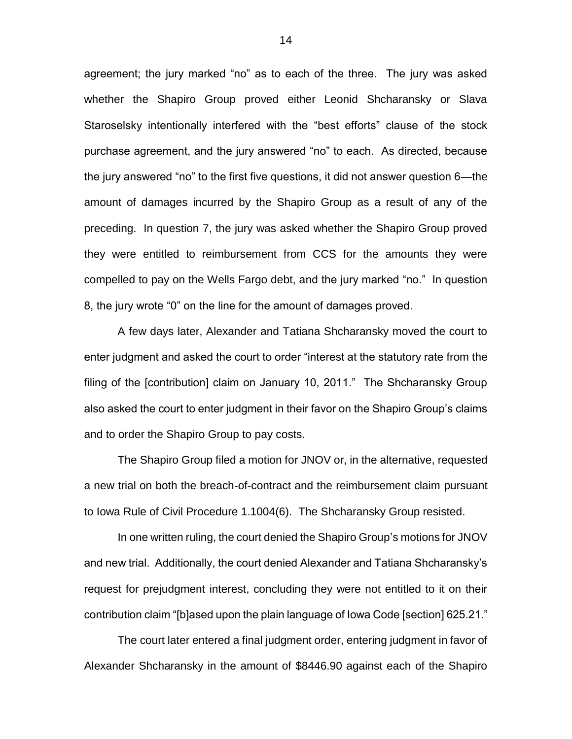agreement; the jury marked "no" as to each of the three. The jury was asked whether the Shapiro Group proved either Leonid Shcharansky or Slava Staroselsky intentionally interfered with the "best efforts" clause of the stock purchase agreement, and the jury answered "no" to each. As directed, because the jury answered "no" to the first five questions, it did not answer question 6—the amount of damages incurred by the Shapiro Group as a result of any of the preceding. In question 7, the jury was asked whether the Shapiro Group proved they were entitled to reimbursement from CCS for the amounts they were compelled to pay on the Wells Fargo debt, and the jury marked "no." In question 8, the jury wrote "0" on the line for the amount of damages proved.

A few days later, Alexander and Tatiana Shcharansky moved the court to enter judgment and asked the court to order "interest at the statutory rate from the filing of the [contribution] claim on January 10, 2011." The Shcharansky Group also asked the court to enter judgment in their favor on the Shapiro Group's claims and to order the Shapiro Group to pay costs.

The Shapiro Group filed a motion for JNOV or, in the alternative, requested a new trial on both the breach-of-contract and the reimbursement claim pursuant to Iowa Rule of Civil Procedure 1.1004(6). The Shcharansky Group resisted.

In one written ruling, the court denied the Shapiro Group's motions for JNOV and new trial. Additionally, the court denied Alexander and Tatiana Shcharansky's request for prejudgment interest, concluding they were not entitled to it on their contribution claim "[b]ased upon the plain language of Iowa Code [section] 625.21."

The court later entered a final judgment order, entering judgment in favor of Alexander Shcharansky in the amount of \$8446.90 against each of the Shapiro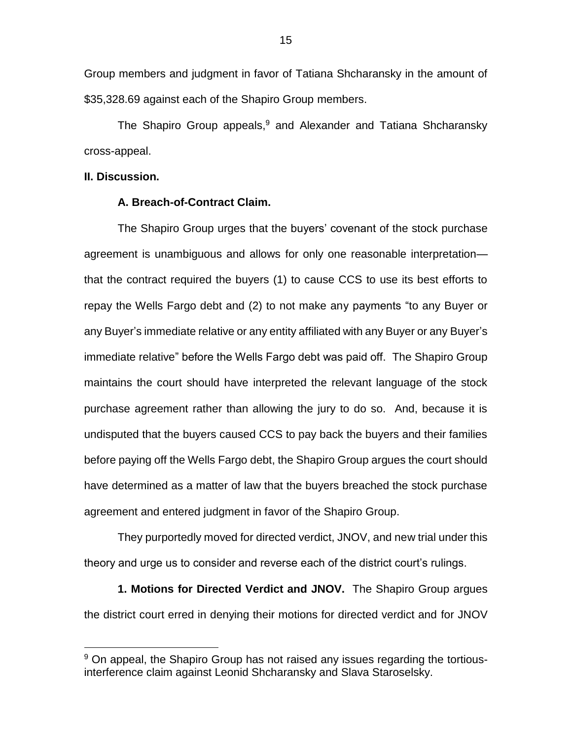Group members and judgment in favor of Tatiana Shcharansky in the amount of \$35,328.69 against each of the Shapiro Group members.

The Shapiro Group appeals,<sup>9</sup> and Alexander and Tatiana Shcharansky cross-appeal.

#### **II. Discussion.**

 $\overline{a}$ 

### **A. Breach-of-Contract Claim.**

The Shapiro Group urges that the buyers' covenant of the stock purchase agreement is unambiguous and allows for only one reasonable interpretation that the contract required the buyers (1) to cause CCS to use its best efforts to repay the Wells Fargo debt and (2) to not make any payments "to any Buyer or any Buyer's immediate relative or any entity affiliated with any Buyer or any Buyer's immediate relative" before the Wells Fargo debt was paid off. The Shapiro Group maintains the court should have interpreted the relevant language of the stock purchase agreement rather than allowing the jury to do so. And, because it is undisputed that the buyers caused CCS to pay back the buyers and their families before paying off the Wells Fargo debt, the Shapiro Group argues the court should have determined as a matter of law that the buyers breached the stock purchase agreement and entered judgment in favor of the Shapiro Group.

They purportedly moved for directed verdict, JNOV, and new trial under this theory and urge us to consider and reverse each of the district court's rulings.

**1. Motions for Directed Verdict and JNOV.** The Shapiro Group argues the district court erred in denying their motions for directed verdict and for JNOV

<sup>&</sup>lt;sup>9</sup> On appeal, the Shapiro Group has not raised any issues regarding the tortiousinterference claim against Leonid Shcharansky and Slava Staroselsky.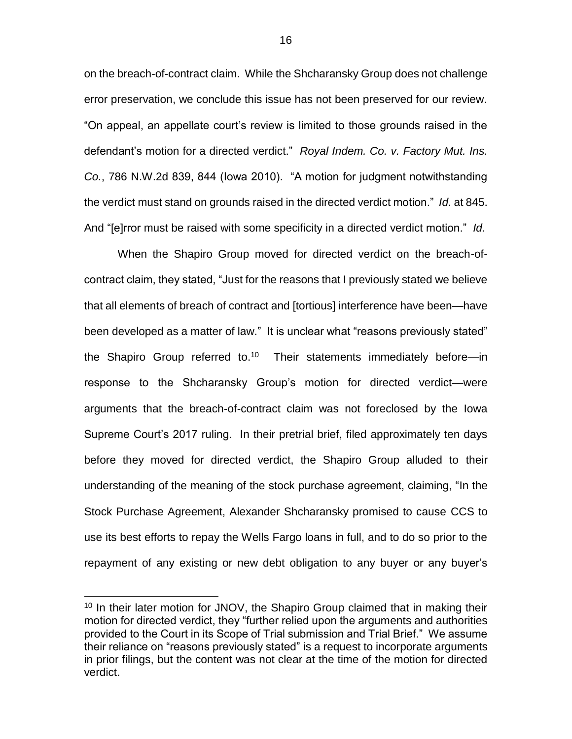on the breach-of-contract claim. While the Shcharansky Group does not challenge error preservation, we conclude this issue has not been preserved for our review. "On appeal, an appellate court's review is limited to those grounds raised in the defendant's motion for a directed verdict." *Royal Indem. Co. v. Factory Mut. Ins. Co.*, 786 N.W.2d 839, 844 (Iowa 2010). "A motion for judgment notwithstanding the verdict must stand on grounds raised in the directed verdict motion." *Id.* at 845. And "[e]rror must be raised with some specificity in a directed verdict motion." *Id.* 

When the Shapiro Group moved for directed verdict on the breach-ofcontract claim, they stated, "Just for the reasons that I previously stated we believe that all elements of breach of contract and [tortious] interference have been—have been developed as a matter of law." It is unclear what "reasons previously stated" the Shapiro Group referred to.<sup>10</sup> Their statements immediately before—in response to the Shcharansky Group's motion for directed verdict—were arguments that the breach-of-contract claim was not foreclosed by the Iowa Supreme Court's 2017 ruling. In their pretrial brief, filed approximately ten days before they moved for directed verdict, the Shapiro Group alluded to their understanding of the meaning of the stock purchase agreement, claiming, "In the Stock Purchase Agreement, Alexander Shcharansky promised to cause CCS to use its best efforts to repay the Wells Fargo loans in full, and to do so prior to the repayment of any existing or new debt obligation to any buyer or any buyer's

 $\overline{a}$ 

<sup>&</sup>lt;sup>10</sup> In their later motion for JNOV, the Shapiro Group claimed that in making their motion for directed verdict, they "further relied upon the arguments and authorities provided to the Court in its Scope of Trial submission and Trial Brief." We assume their reliance on "reasons previously stated" is a request to incorporate arguments in prior filings, but the content was not clear at the time of the motion for directed verdict.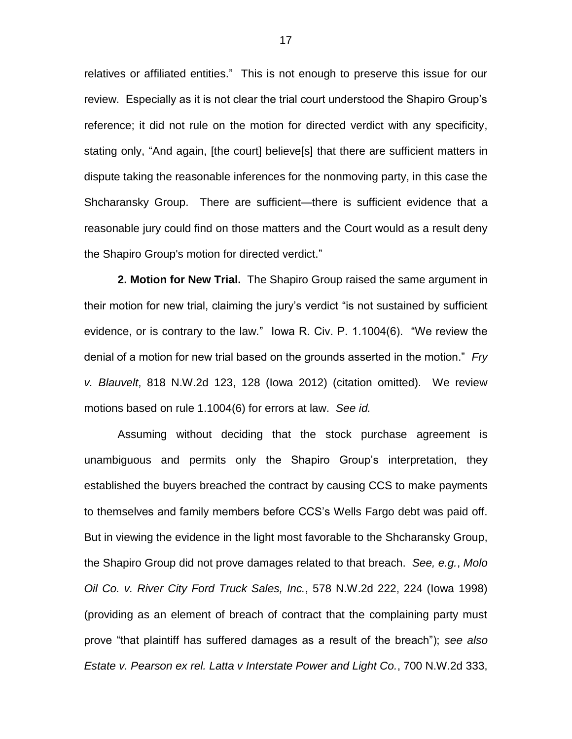relatives or affiliated entities." This is not enough to preserve this issue for our review. Especially as it is not clear the trial court understood the Shapiro Group's reference; it did not rule on the motion for directed verdict with any specificity, stating only, "And again, [the court] believe[s] that there are sufficient matters in dispute taking the reasonable inferences for the nonmoving party, in this case the Shcharansky Group. There are sufficient—there is sufficient evidence that a reasonable jury could find on those matters and the Court would as a result deny the Shapiro Group's motion for directed verdict."

**2. Motion for New Trial.** The Shapiro Group raised the same argument in their motion for new trial, claiming the jury's verdict "is not sustained by sufficient evidence, or is contrary to the law." Iowa R. Civ. P. 1.1004(6). "We review the denial of a motion for new trial based on the grounds asserted in the motion." *Fry v. Blauvelt*, 818 N.W.2d 123, 128 (Iowa 2012) (citation omitted). We review motions based on rule 1.1004(6) for errors at law. *See id.* 

Assuming without deciding that the stock purchase agreement is unambiguous and permits only the Shapiro Group's interpretation, they established the buyers breached the contract by causing CCS to make payments to themselves and family members before CCS's Wells Fargo debt was paid off. But in viewing the evidence in the light most favorable to the Shcharansky Group, the Shapiro Group did not prove damages related to that breach. *See, e.g.*, *Molo Oil Co. v. River City Ford Truck Sales, Inc.*, 578 N.W.2d 222, 224 (Iowa 1998) (providing as an element of breach of contract that the complaining party must prove "that plaintiff has suffered damages as a result of the breach"); *see also Estate v. Pearson ex rel. Latta v Interstate Power and Light Co.*, 700 N.W.2d 333,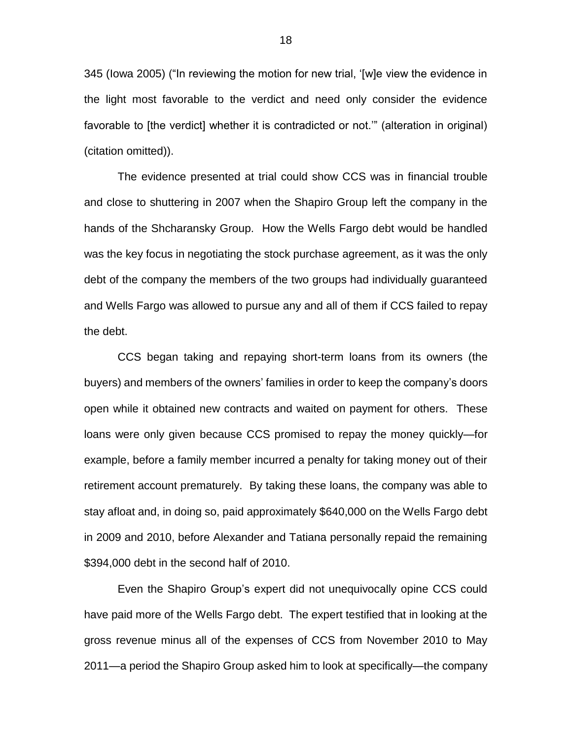345 (Iowa 2005) ("In reviewing the motion for new trial, '[w]e view the evidence in the light most favorable to the verdict and need only consider the evidence favorable to [the verdict] whether it is contradicted or not.'" (alteration in original) (citation omitted)).

The evidence presented at trial could show CCS was in financial trouble and close to shuttering in 2007 when the Shapiro Group left the company in the hands of the Shcharansky Group. How the Wells Fargo debt would be handled was the key focus in negotiating the stock purchase agreement, as it was the only debt of the company the members of the two groups had individually guaranteed and Wells Fargo was allowed to pursue any and all of them if CCS failed to repay the debt.

CCS began taking and repaying short-term loans from its owners (the buyers) and members of the owners' families in order to keep the company's doors open while it obtained new contracts and waited on payment for others. These loans were only given because CCS promised to repay the money quickly—for example, before a family member incurred a penalty for taking money out of their retirement account prematurely. By taking these loans, the company was able to stay afloat and, in doing so, paid approximately \$640,000 on the Wells Fargo debt in 2009 and 2010, before Alexander and Tatiana personally repaid the remaining \$394,000 debt in the second half of 2010.

Even the Shapiro Group's expert did not unequivocally opine CCS could have paid more of the Wells Fargo debt. The expert testified that in looking at the gross revenue minus all of the expenses of CCS from November 2010 to May 2011—a period the Shapiro Group asked him to look at specifically—the company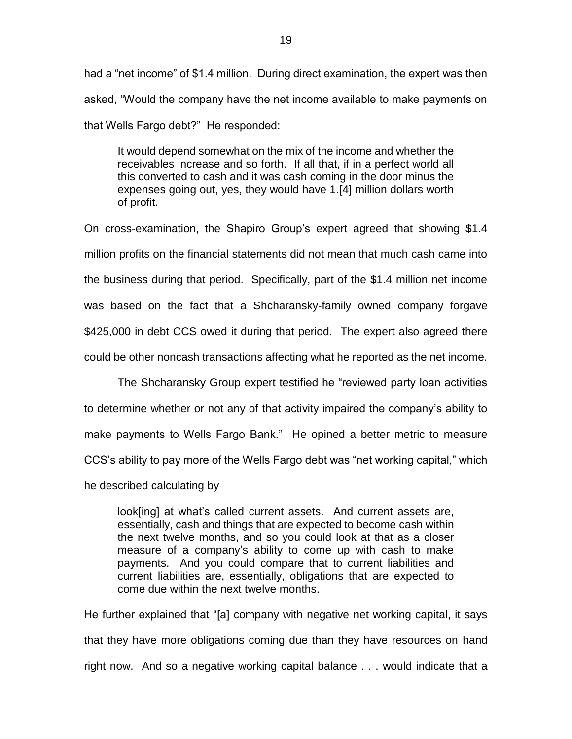had a "net income" of \$1.4 million. During direct examination, the expert was then asked, "Would the company have the net income available to make payments on that Wells Fargo debt?" He responded:

It would depend somewhat on the mix of the income and whether the receivables increase and so forth. If all that, if in a perfect world all this converted to cash and it was cash coming in the door minus the expenses going out, yes, they would have 1.[4] million dollars worth of profit.

On cross-examination, the Shapiro Group's expert agreed that showing \$1.4 million profits on the financial statements did not mean that much cash came into the business during that period. Specifically, part of the \$1.4 million net income was based on the fact that a Shcharansky-family owned company forgave \$425,000 in debt CCS owed it during that period. The expert also agreed there could be other noncash transactions affecting what he reported as the net income.

The Shcharansky Group expert testified he "reviewed party loan activities to determine whether or not any of that activity impaired the company's ability to make payments to Wells Fargo Bank." He opined a better metric to measure CCS's ability to pay more of the Wells Fargo debt was "net working capital," which he described calculating by

look[ing] at what's called current assets. And current assets are, essentially, cash and things that are expected to become cash within the next twelve months, and so you could look at that as a closer measure of a company's ability to come up with cash to make payments. And you could compare that to current liabilities and current liabilities are, essentially, obligations that are expected to come due within the next twelve months.

He further explained that "[a] company with negative net working capital, it says that they have more obligations coming due than they have resources on hand right now. And so a negative working capital balance . . . would indicate that a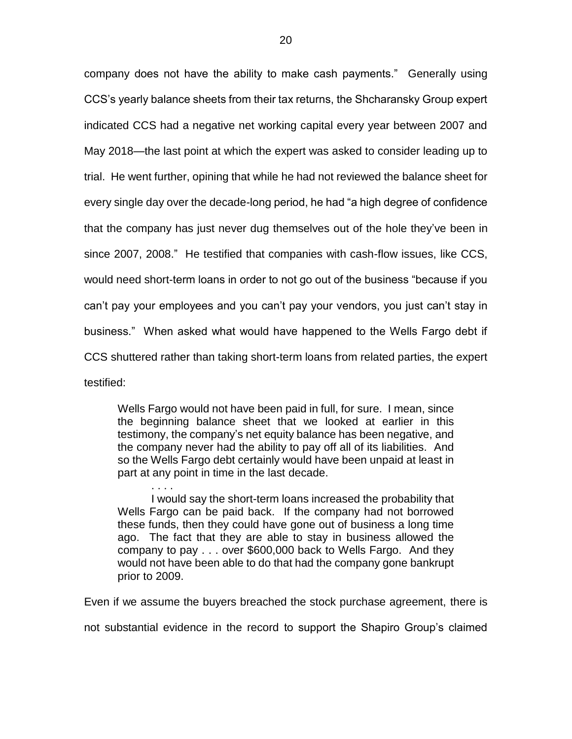company does not have the ability to make cash payments." Generally using CCS's yearly balance sheets from their tax returns, the Shcharansky Group expert indicated CCS had a negative net working capital every year between 2007 and May 2018—the last point at which the expert was asked to consider leading up to trial. He went further, opining that while he had not reviewed the balance sheet for every single day over the decade-long period, he had "a high degree of confidence that the company has just never dug themselves out of the hole they've been in since 2007, 2008." He testified that companies with cash-flow issues, like CCS, would need short-term loans in order to not go out of the business "because if you can't pay your employees and you can't pay your vendors, you just can't stay in business." When asked what would have happened to the Wells Fargo debt if CCS shuttered rather than taking short-term loans from related parties, the expert testified:

Wells Fargo would not have been paid in full, for sure. I mean, since the beginning balance sheet that we looked at earlier in this testimony, the company's net equity balance has been negative, and the company never had the ability to pay off all of its liabilities. And so the Wells Fargo debt certainly would have been unpaid at least in part at any point in time in the last decade.

. . . .

I would say the short-term loans increased the probability that Wells Fargo can be paid back. If the company had not borrowed these funds, then they could have gone out of business a long time ago. The fact that they are able to stay in business allowed the company to pay . . . over \$600,000 back to Wells Fargo. And they would not have been able to do that had the company gone bankrupt prior to 2009.

Even if we assume the buyers breached the stock purchase agreement, there is

not substantial evidence in the record to support the Shapiro Group's claimed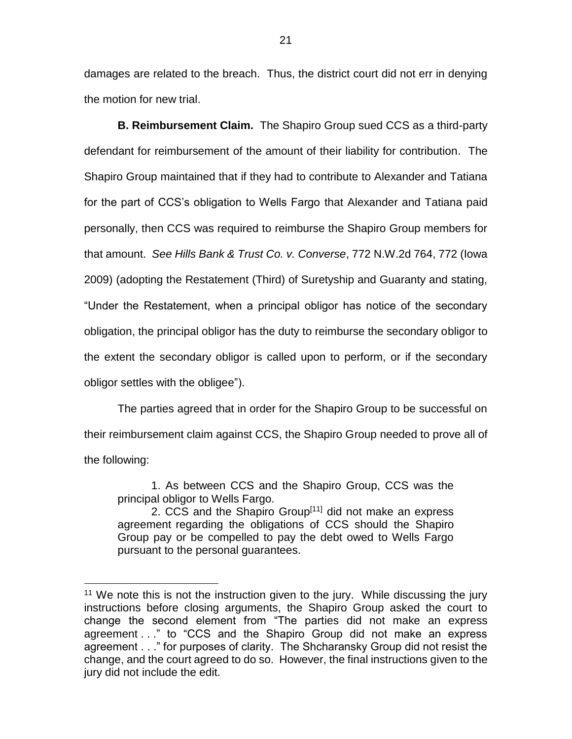damages are related to the breach. Thus, the district court did not err in denying the motion for new trial.

**B. Reimbursement Claim.** The Shapiro Group sued CCS as a third-party defendant for reimbursement of the amount of their liability for contribution. The Shapiro Group maintained that if they had to contribute to Alexander and Tatiana for the part of CCS's obligation to Wells Fargo that Alexander and Tatiana paid personally, then CCS was required to reimburse the Shapiro Group members for that amount.*See Hills Bank & Trust Co. v. Converse*, 772 N.W.2d 764, 772 (Iowa 2009) (adopting the Restatement (Third) of Suretyship and Guaranty and stating, "Under the Restatement, when a principal obligor has notice of the secondary obligation, the principal obligor has the duty to reimburse the secondary obligor to the extent the secondary obligor is called upon to perform, or if the secondary obligor settles with the obligee").

The parties agreed that in order for the Shapiro Group to be successful on their reimbursement claim against CCS, the Shapiro Group needed to prove all of the following:

1. As between CCS and the Shapiro Group, CCS was the principal obligor to Wells Fargo.

2. CCS and the Shapiro Group<sup>[11]</sup> did not make an express agreement regarding the obligations of CCS should the Shapiro Group pay or be compelled to pay the debt owed to Wells Fargo pursuant to the personal guarantees.

 $\overline{a}$ 

 $11$  We note this is not the instruction given to the jury. While discussing the jury instructions before closing arguments, the Shapiro Group asked the court to change the second element from "The parties did not make an express agreement . . ." to "CCS and the Shapiro Group did not make an express agreement . . ." for purposes of clarity. The Shcharansky Group did not resist the change, and the court agreed to do so. However, the final instructions given to the jury did not include the edit.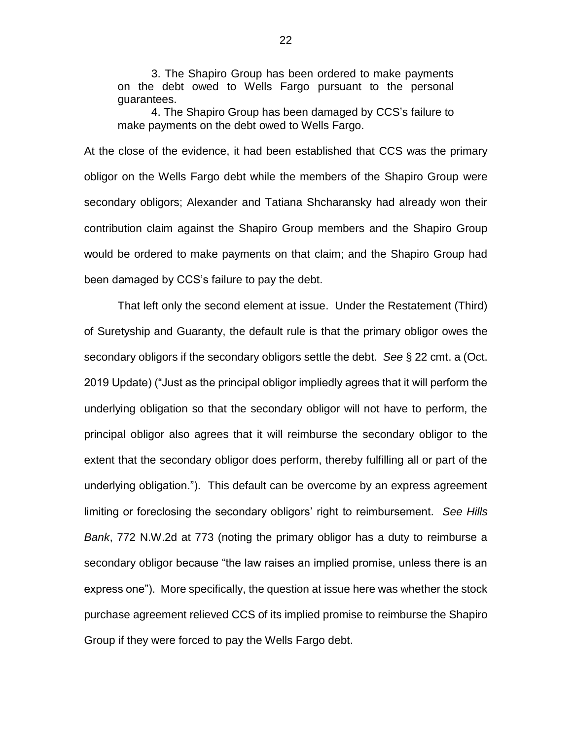3. The Shapiro Group has been ordered to make payments on the debt owed to Wells Fargo pursuant to the personal guarantees.

4. The Shapiro Group has been damaged by CCS's failure to make payments on the debt owed to Wells Fargo.

At the close of the evidence, it had been established that CCS was the primary obligor on the Wells Fargo debt while the members of the Shapiro Group were secondary obligors; Alexander and Tatiana Shcharansky had already won their contribution claim against the Shapiro Group members and the Shapiro Group would be ordered to make payments on that claim; and the Shapiro Group had been damaged by CCS's failure to pay the debt.

That left only the second element at issue. Under the Restatement (Third) of Suretyship and Guaranty, the default rule is that the primary obligor owes the secondary obligors if the secondary obligors settle the debt. *See* § 22 cmt. a (Oct. 2019 Update) ("Just as the principal obligor impliedly agrees that it will perform the underlying obligation so that the secondary obligor will not have to perform, the principal obligor also agrees that it will reimburse the secondary obligor to the extent that the secondary obligor does perform, thereby fulfilling all or part of the underlying obligation."). This default can be overcome by an express agreement limiting or foreclosing the secondary obligors' right to reimbursement. *See Hills Bank*, 772 N.W.2d at 773 (noting the primary obligor has a duty to reimburse a secondary obligor because "the law raises an implied promise, unless there is an express one"). More specifically, the question at issue here was whether the stock purchase agreement relieved CCS of its implied promise to reimburse the Shapiro Group if they were forced to pay the Wells Fargo debt.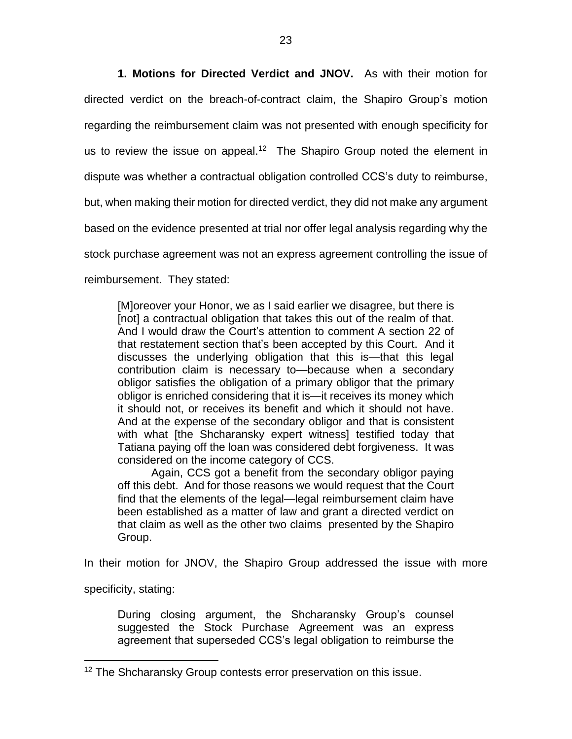**1. Motions for Directed Verdict and JNOV.** As with their motion for directed verdict on the breach-of-contract claim, the Shapiro Group's motion regarding the reimbursement claim was not presented with enough specificity for us to review the issue on appeal.<sup>12</sup> The Shapiro Group noted the element in dispute was whether a contractual obligation controlled CCS's duty to reimburse, but, when making their motion for directed verdict, they did not make any argument based on the evidence presented at trial nor offer legal analysis regarding why the stock purchase agreement was not an express agreement controlling the issue of reimbursement. They stated:

[M]oreover your Honor, we as I said earlier we disagree, but there is [not] a contractual obligation that takes this out of the realm of that. And I would draw the Court's attention to comment A section 22 of that restatement section that's been accepted by this Court. And it discusses the underlying obligation that this is—that this legal contribution claim is necessary to—because when a secondary obligor satisfies the obligation of a primary obligor that the primary obligor is enriched considering that it is—it receives its money which it should not, or receives its benefit and which it should not have. And at the expense of the secondary obligor and that is consistent with what [the Shcharansky expert witness] testified today that Tatiana paying off the loan was considered debt forgiveness. It was considered on the income category of CCS.

Again, CCS got a benefit from the secondary obligor paying off this debt. And for those reasons we would request that the Court find that the elements of the legal—legal reimbursement claim have been established as a matter of law and grant a directed verdict on that claim as well as the other two claims presented by the Shapiro Group.

In their motion for JNOV, the Shapiro Group addressed the issue with more

specificity, stating:

 $\overline{a}$ 

During closing argument, the Shcharansky Group's counsel suggested the Stock Purchase Agreement was an express agreement that superseded CCS's legal obligation to reimburse the

<sup>&</sup>lt;sup>12</sup> The Shcharansky Group contests error preservation on this issue.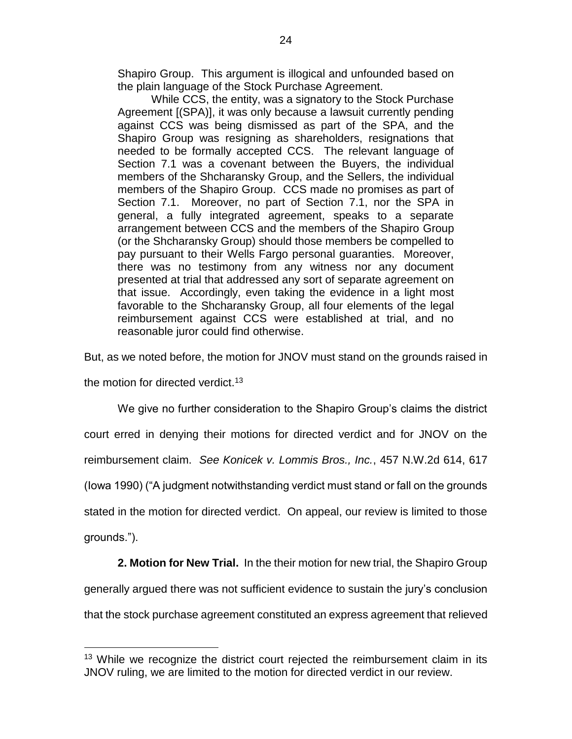Shapiro Group. This argument is illogical and unfounded based on the plain language of the Stock Purchase Agreement.

While CCS, the entity, was a signatory to the Stock Purchase Agreement [(SPA)], it was only because a lawsuit currently pending against CCS was being dismissed as part of the SPA, and the Shapiro Group was resigning as shareholders, resignations that needed to be formally accepted CCS. The relevant language of Section 7.1 was a covenant between the Buyers, the individual members of the Shcharansky Group, and the Sellers, the individual members of the Shapiro Group. CCS made no promises as part of Section 7.1. Moreover, no part of Section 7.1, nor the SPA in general, a fully integrated agreement, speaks to a separate arrangement between CCS and the members of the Shapiro Group (or the Shcharansky Group) should those members be compelled to pay pursuant to their Wells Fargo personal guaranties. Moreover, there was no testimony from any witness nor any document presented at trial that addressed any sort of separate agreement on that issue. Accordingly, even taking the evidence in a light most favorable to the Shcharansky Group, all four elements of the legal reimbursement against CCS were established at trial, and no reasonable juror could find otherwise.

But, as we noted before, the motion for JNOV must stand on the grounds raised in

the motion for directed verdict.<sup>13</sup>

 $\overline{a}$ 

We give no further consideration to the Shapiro Group's claims the district court erred in denying their motions for directed verdict and for JNOV on the reimbursement claim. *See Konicek v. Lommis Bros., Inc.*, 457 N.W.2d 614, 617 (Iowa 1990) ("A judgment notwithstanding verdict must stand or fall on the grounds stated in the motion for directed verdict. On appeal, our review is limited to those grounds.").

**2. Motion for New Trial.** In the their motion for new trial, the Shapiro Group generally argued there was not sufficient evidence to sustain the jury's conclusion that the stock purchase agreement constituted an express agreement that relieved

<sup>&</sup>lt;sup>13</sup> While we recognize the district court rejected the reimbursement claim in its JNOV ruling, we are limited to the motion for directed verdict in our review.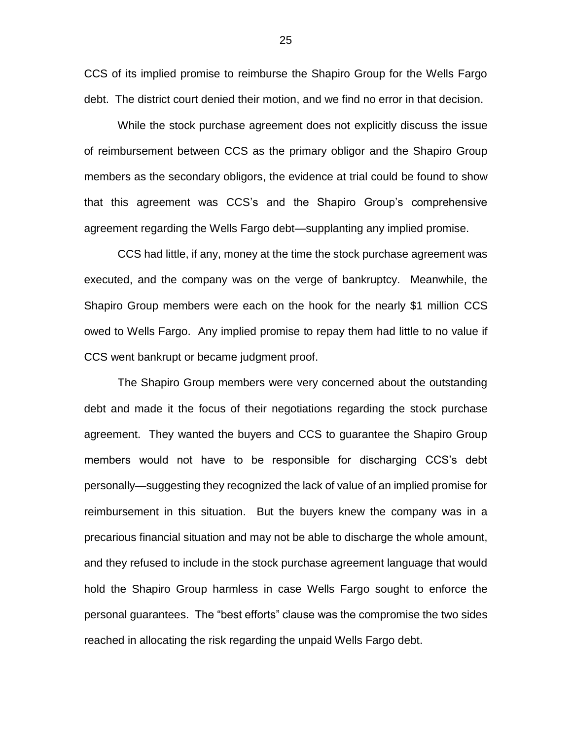CCS of its implied promise to reimburse the Shapiro Group for the Wells Fargo debt.The district court denied their motion, and we find no error in that decision.

While the stock purchase agreement does not explicitly discuss the issue of reimbursement between CCS as the primary obligor and the Shapiro Group members as the secondary obligors, the evidence at trial could be found to show that this agreement was CCS's and the Shapiro Group's comprehensive agreement regarding the Wells Fargo debt—supplanting any implied promise.

CCS had little, if any, money at the time the stock purchase agreement was executed, and the company was on the verge of bankruptcy. Meanwhile, the Shapiro Group members were each on the hook for the nearly \$1 million CCS owed to Wells Fargo. Any implied promise to repay them had little to no value if CCS went bankrupt or became judgment proof.

The Shapiro Group members were very concerned about the outstanding debt and made it the focus of their negotiations regarding the stock purchase agreement. They wanted the buyers and CCS to guarantee the Shapiro Group members would not have to be responsible for discharging CCS's debt personally—suggesting they recognized the lack of value of an implied promise for reimbursement in this situation. But the buyers knew the company was in a precarious financial situation and may not be able to discharge the whole amount, and they refused to include in the stock purchase agreement language that would hold the Shapiro Group harmless in case Wells Fargo sought to enforce the personal guarantees. The "best efforts" clause was the compromise the two sides reached in allocating the risk regarding the unpaid Wells Fargo debt.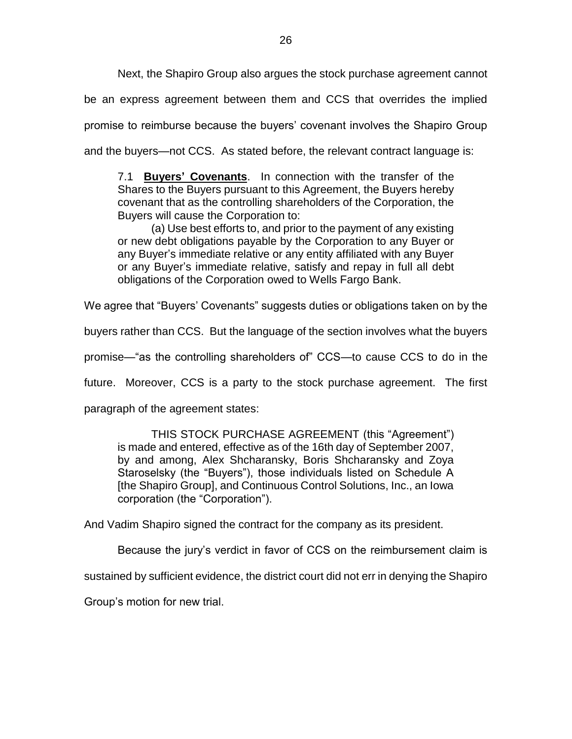Next, the Shapiro Group also argues the stock purchase agreement cannot

be an express agreement between them and CCS that overrides the implied promise to reimburse because the buyers' covenant involves the Shapiro Group and the buyers—not CCS. As stated before, the relevant contract language is:

7.1 **Buyers' Covenants**. In connection with the transfer of the Shares to the Buyers pursuant to this Agreement, the Buyers hereby covenant that as the controlling shareholders of the Corporation, the Buyers will cause the Corporation to:

(a) Use best efforts to, and prior to the payment of any existing or new debt obligations payable by the Corporation to any Buyer or any Buyer's immediate relative or any entity affiliated with any Buyer or any Buyer's immediate relative, satisfy and repay in full all debt obligations of the Corporation owed to Wells Fargo Bank.

We agree that "Buyers' Covenants" suggests duties or obligations taken on by the

buyers rather than CCS. But the language of the section involves what the buyers

promise—"as the controlling shareholders of" CCS—to cause CCS to do in the

future. Moreover, CCS is a party to the stock purchase agreement. The first

paragraph of the agreement states:

THIS STOCK PURCHASE AGREEMENT (this "Agreement") is made and entered, effective as of the 16th day of September 2007, by and among, Alex Shcharansky, Boris Shcharansky and Zoya Staroselsky (the "Buyers"), those individuals listed on Schedule A [the Shapiro Group], and Continuous Control Solutions, Inc., an Iowa corporation (the "Corporation").

And Vadim Shapiro signed the contract for the company as its president.

Because the jury's verdict in favor of CCS on the reimbursement claim is

sustained by sufficient evidence, the district court did not err in denying the Shapiro

Group's motion for new trial.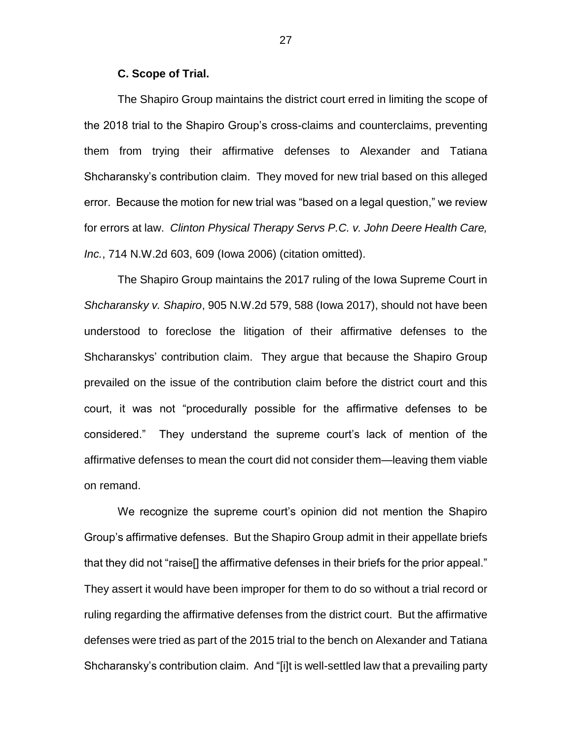#### **C. Scope of Trial.**

The Shapiro Group maintains the district court erred in limiting the scope of the 2018 trial to the Shapiro Group's cross-claims and counterclaims, preventing them from trying their affirmative defenses to Alexander and Tatiana Shcharansky's contribution claim. They moved for new trial based on this alleged error. Because the motion for new trial was "based on a legal question," we review for errors at law. *Clinton Physical Therapy Servs P.C. v. John Deere Health Care, Inc.*, 714 N.W.2d 603, 609 (Iowa 2006) (citation omitted).

The Shapiro Group maintains the 2017 ruling of the Iowa Supreme Court in *Shcharansky v. Shapiro*, 905 N.W.2d 579, 588 (Iowa 2017), should not have been understood to foreclose the litigation of their affirmative defenses to the Shcharanskys' contribution claim. They argue that because the Shapiro Group prevailed on the issue of the contribution claim before the district court and this court, it was not "procedurally possible for the affirmative defenses to be considered." They understand the supreme court's lack of mention of the affirmative defenses to mean the court did not consider them—leaving them viable on remand.

We recognize the supreme court's opinion did not mention the Shapiro Group's affirmative defenses. But the Shapiro Group admit in their appellate briefs that they did not "raise[] the affirmative defenses in their briefs for the prior appeal." They assert it would have been improper for them to do so without a trial record or ruling regarding the affirmative defenses from the district court. But the affirmative defenses were tried as part of the 2015 trial to the bench on Alexander and Tatiana Shcharansky's contribution claim. And "[i]t is well-settled law that a prevailing party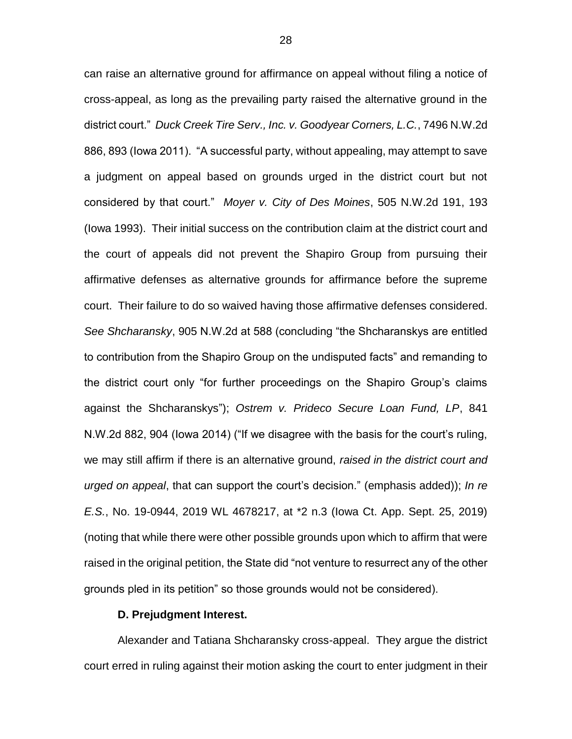can raise an alternative ground for affirmance on appeal without filing a notice of cross-appeal, as long as the prevailing party raised the alternative ground in the district court." *Duck Creek Tire Serv., Inc. v. Goodyear Corners, L.C.*, 7496 N.W.2d 886, 893 (Iowa 2011). "A successful party, without appealing, may attempt to save a judgment on appeal based on grounds urged in the district court but not considered by that court." *Moyer v. City of Des Moines*, 505 N.W.2d 191, 193 (Iowa 1993). Their initial success on the contribution claim at the district court and the court of appeals did not prevent the Shapiro Group from pursuing their affirmative defenses as alternative grounds for affirmance before the supreme court. Their failure to do so waived having those affirmative defenses considered. *See Shcharansky*, 905 N.W.2d at 588 (concluding "the Shcharanskys are entitled to contribution from the Shapiro Group on the undisputed facts" and remanding to the district court only "for further proceedings on the Shapiro Group's claims against the Shcharanskys"); *Ostrem v. Prideco Secure Loan Fund, LP*, 841 N.W.2d 882, 904 (Iowa 2014) ("If we disagree with the basis for the court's ruling, we may still affirm if there is an alternative ground, *raised in the district court and urged on appeal*, that can support the court's decision." (emphasis added)); *In re E.S.*, No. 19-0944, 2019 WL 4678217, at \*2 n.3 (Iowa Ct. App. Sept. 25, 2019) (noting that while there were other possible grounds upon which to affirm that were raised in the original petition, the State did "not venture to resurrect any of the other grounds pled in its petition" so those grounds would not be considered).

### **D. Prejudgment Interest.**

Alexander and Tatiana Shcharansky cross-appeal. They argue the district court erred in ruling against their motion asking the court to enter judgment in their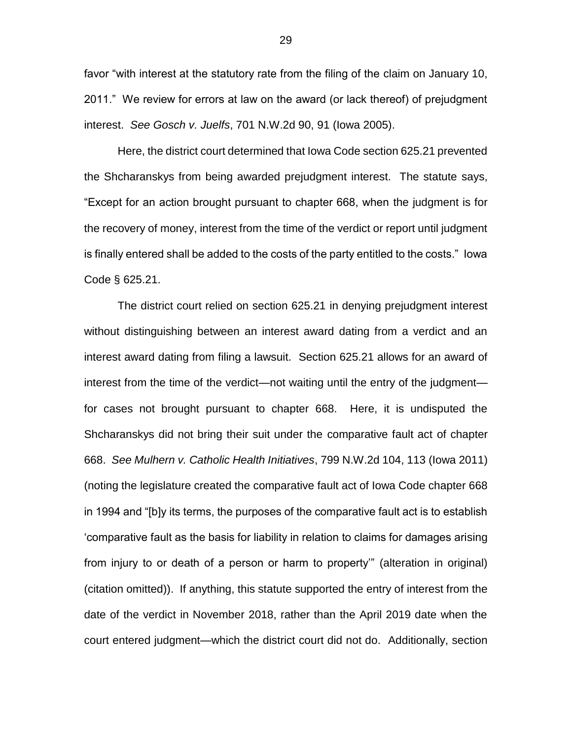favor "with interest at the statutory rate from the filing of the claim on January 10, 2011." We review for errors at law on the award (or lack thereof) of prejudgment interest. *See Gosch v. Juelfs*, 701 N.W.2d 90, 91 (Iowa 2005).

Here, the district court determined that Iowa Code section 625.21 prevented the Shcharanskys from being awarded prejudgment interest. The statute says, "Except for an action brought pursuant to chapter 668, when the judgment is for the recovery of money, interest from the time of the verdict or report until judgment is finally entered shall be added to the costs of the party entitled to the costs." Iowa Code § 625.21.

The district court relied on section 625.21 in denying prejudgment interest without distinguishing between an interest award dating from a verdict and an interest award dating from filing a lawsuit. Section 625.21 allows for an award of interest from the time of the verdict—not waiting until the entry of the judgment for cases not brought pursuant to chapter 668. Here, it is undisputed the Shcharanskys did not bring their suit under the comparative fault act of chapter 668. *See Mulhern v. Catholic Health Initiatives*, 799 N.W.2d 104, 113 (Iowa 2011) (noting the legislature created the comparative fault act of Iowa Code chapter 668 in 1994 and "[b]y its terms, the purposes of the comparative fault act is to establish 'comparative fault as the basis for liability in relation to claims for damages arising from injury to or death of a person or harm to property'" (alteration in original) (citation omitted)). If anything, this statute supported the entry of interest from the date of the verdict in November 2018, rather than the April 2019 date when the court entered judgment—which the district court did not do. Additionally, section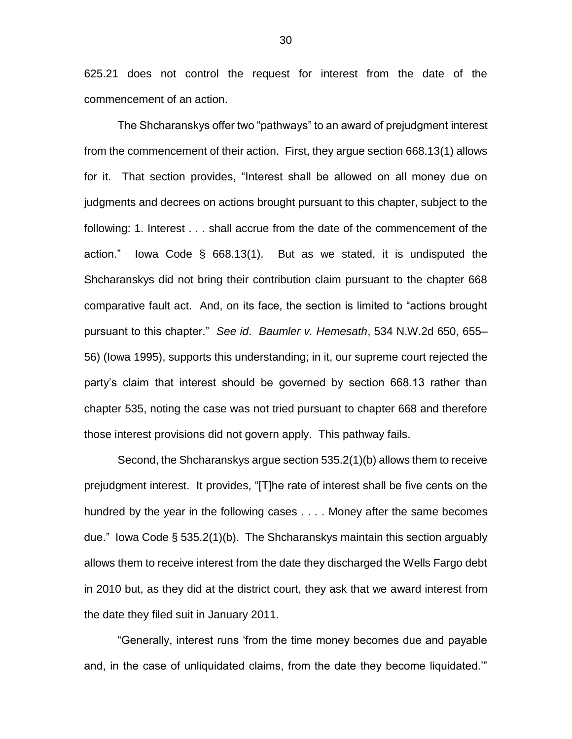625.21 does not control the request for interest from the date of the commencement of an action.

The Shcharanskys offer two "pathways" to an award of prejudgment interest from the commencement of their action. First, they argue section 668.13(1) allows for it. That section provides, "Interest shall be allowed on all money due on judgments and decrees on actions brought pursuant to this chapter, subject to the following: 1. Interest . . . shall accrue from the date of the commencement of the action." Iowa Code § 668.13(1). But as we stated, it is undisputed the Shcharanskys did not bring their contribution claim pursuant to the chapter 668 comparative fault act. And, on its face, the section is limited to "actions brought pursuant to this chapter." *See id*. *Baumler v. Hemesath*, 534 N.W.2d 650, 655– 56) (Iowa 1995), supports this understanding; in it, our supreme court rejected the party's claim that interest should be governed by section 668.13 rather than chapter 535, noting the case was not tried pursuant to chapter 668 and therefore those interest provisions did not govern apply. This pathway fails.

Second, the Shcharanskys argue section 535.2(1)(b) allows them to receive prejudgment interest. It provides, "[T]he rate of interest shall be five cents on the hundred by the year in the following cases . . . . Money after the same becomes due." Iowa Code § 535.2(1)(b). The Shcharanskys maintain this section arguably allows them to receive interest from the date they discharged the Wells Fargo debt in 2010 but, as they did at the district court, they ask that we award interest from the date they filed suit in January 2011.

"Generally, interest runs 'from the time money becomes due and payable and, in the case of unliquidated claims, from the date they become liquidated.'"